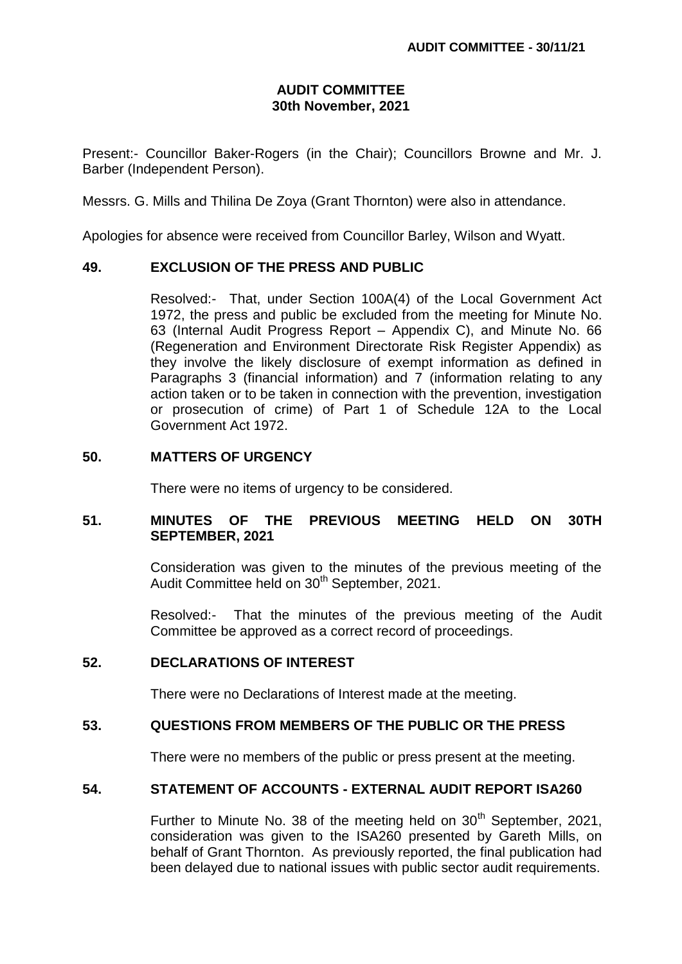## **AUDIT COMMITTEE 30th November, 2021**

Present:- Councillor Baker-Rogers (in the Chair); Councillors Browne and Mr. J. Barber (Independent Person).

Messrs. G. Mills and Thilina De Zoya (Grant Thornton) were also in attendance.

Apologies for absence were received from Councillor Barley, Wilson and Wyatt.

# **49. EXCLUSION OF THE PRESS AND PUBLIC**

Resolved:- That, under Section 100A(4) of the Local Government Act 1972, the press and public be excluded from the meeting for Minute No. 63 (Internal Audit Progress Report – Appendix C), and Minute No. 66 (Regeneration and Environment Directorate Risk Register Appendix) as they involve the likely disclosure of exempt information as defined in Paragraphs 3 (financial information) and 7 (information relating to any action taken or to be taken in connection with the prevention, investigation or prosecution of crime) of Part 1 of Schedule 12A to the Local Government Act 1972.

### **50. MATTERS OF URGENCY**

There were no items of urgency to be considered.

# **51. MINUTES OF THE PREVIOUS MEETING HELD ON 30TH SEPTEMBER, 2021**

Consideration was given to the minutes of the previous meeting of the Audit Committee held on 30<sup>th</sup> September, 2021.

Resolved:- That the minutes of the previous meeting of the Audit Committee be approved as a correct record of proceedings.

#### **52. DECLARATIONS OF INTEREST**

There were no Declarations of Interest made at the meeting.

## **53. QUESTIONS FROM MEMBERS OF THE PUBLIC OR THE PRESS**

There were no members of the public or press present at the meeting.

# **54. STATEMENT OF ACCOUNTS - EXTERNAL AUDIT REPORT ISA260**

Further to Minute No. 38 of the meeting held on  $30<sup>th</sup>$  September, 2021, consideration was given to the ISA260 presented by Gareth Mills, on behalf of Grant Thornton. As previously reported, the final publication had been delayed due to national issues with public sector audit requirements.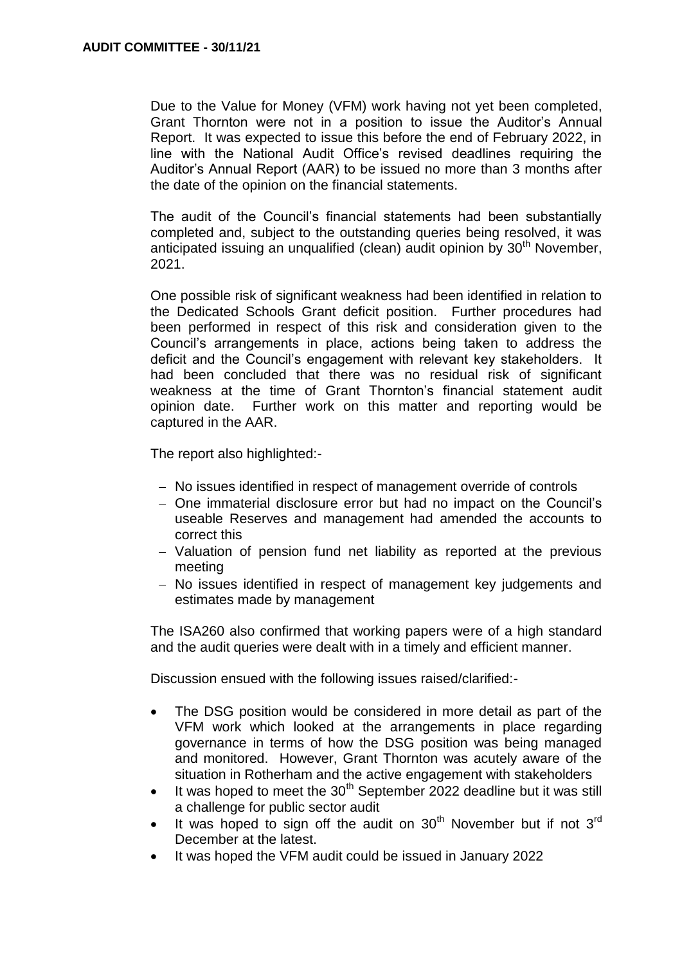Due to the Value for Money (VFM) work having not yet been completed, Grant Thornton were not in a position to issue the Auditor's Annual Report. It was expected to issue this before the end of February 2022, in line with the National Audit Office's revised deadlines requiring the Auditor's Annual Report (AAR) to be issued no more than 3 months after the date of the opinion on the financial statements.

The audit of the Council's financial statements had been substantially completed and, subject to the outstanding queries being resolved, it was anticipated issuing an unqualified (clean) audit opinion by  $30<sup>th</sup>$  November. 2021.

One possible risk of significant weakness had been identified in relation to the Dedicated Schools Grant deficit position. Further procedures had been performed in respect of this risk and consideration given to the Council's arrangements in place, actions being taken to address the deficit and the Council's engagement with relevant key stakeholders. It had been concluded that there was no residual risk of significant weakness at the time of Grant Thornton's financial statement audit opinion date. Further work on this matter and reporting would be captured in the AAR.

The report also highlighted:-

- No issues identified in respect of management override of controls
- One immaterial disclosure error but had no impact on the Council's useable Reserves and management had amended the accounts to correct this
- Valuation of pension fund net liability as reported at the previous meeting
- No issues identified in respect of management key judgements and estimates made by management

The ISA260 also confirmed that working papers were of a high standard and the audit queries were dealt with in a timely and efficient manner.

Discussion ensued with the following issues raised/clarified:-

- The DSG position would be considered in more detail as part of the VFM work which looked at the arrangements in place regarding governance in terms of how the DSG position was being managed and monitored. However, Grant Thornton was acutely aware of the situation in Rotherham and the active engagement with stakeholders
- It was hoped to meet the  $30<sup>th</sup>$  September 2022 deadline but it was still a challenge for public sector audit
- It was hoped to sign off the audit on  $30<sup>th</sup>$  November but if not  $3<sup>rd</sup>$ December at the latest.
- It was hoped the VFM audit could be issued in January 2022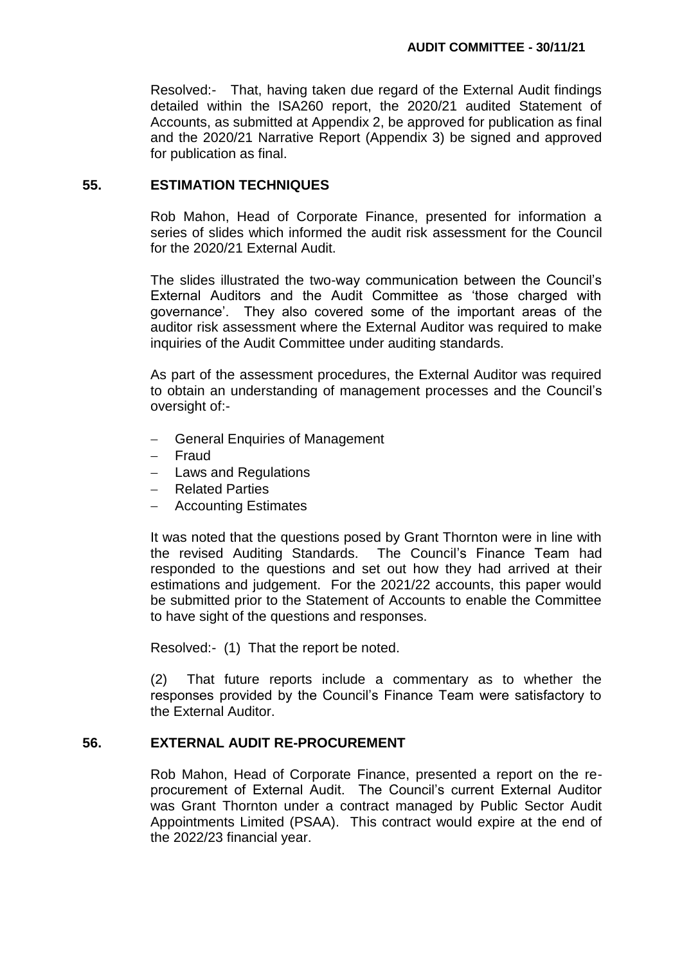Resolved:- That, having taken due regard of the External Audit findings detailed within the ISA260 report, the 2020/21 audited Statement of Accounts, as submitted at Appendix 2, be approved for publication as final and the 2020/21 Narrative Report (Appendix 3) be signed and approved for publication as final.

#### **55. ESTIMATION TECHNIQUES**

Rob Mahon, Head of Corporate Finance, presented for information a series of slides which informed the audit risk assessment for the Council for the 2020/21 External Audit.

The slides illustrated the two-way communication between the Council's External Auditors and the Audit Committee as 'those charged with governance'. They also covered some of the important areas of the auditor risk assessment where the External Auditor was required to make inquiries of the Audit Committee under auditing standards.

As part of the assessment procedures, the External Auditor was required to obtain an understanding of management processes and the Council's oversight of:-

- General Enquiries of Management
- Fraud
- Laws and Regulations
- Related Parties
- Accounting Estimates

It was noted that the questions posed by Grant Thornton were in line with the revised Auditing Standards. The Council's Finance Team had responded to the questions and set out how they had arrived at their estimations and judgement. For the 2021/22 accounts, this paper would be submitted prior to the Statement of Accounts to enable the Committee to have sight of the questions and responses.

Resolved:- (1) That the report be noted.

(2) That future reports include a commentary as to whether the responses provided by the Council's Finance Team were satisfactory to the External Auditor.

# **56. EXTERNAL AUDIT RE-PROCUREMENT**

Rob Mahon, Head of Corporate Finance, presented a report on the reprocurement of External Audit. The Council's current External Auditor was Grant Thornton under a contract managed by Public Sector Audit Appointments Limited (PSAA). This contract would expire at the end of the 2022/23 financial year.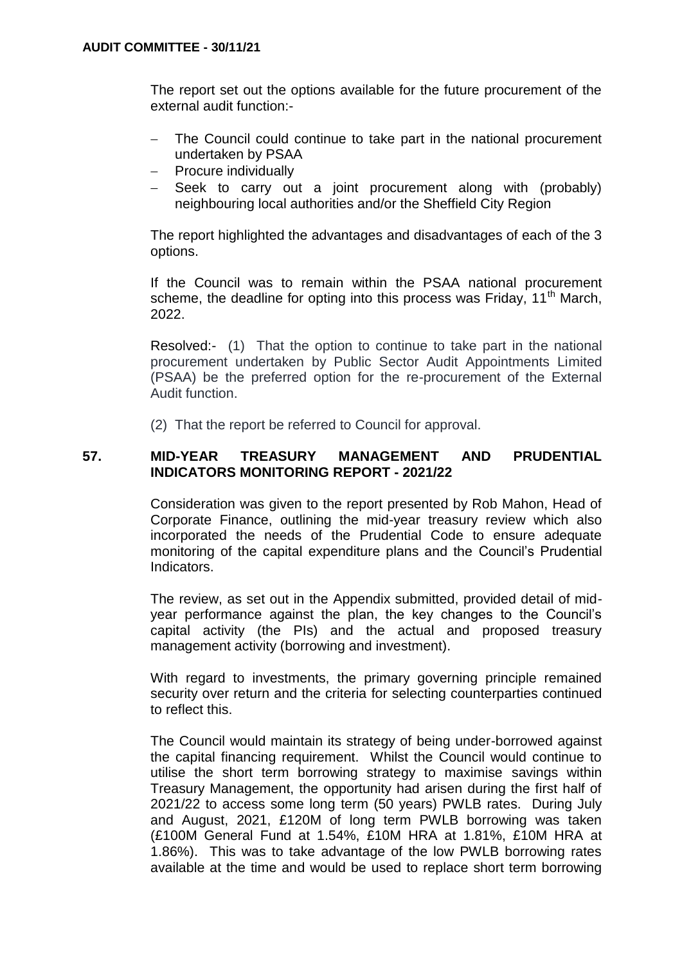The report set out the options available for the future procurement of the external audit function:-

- The Council could continue to take part in the national procurement undertaken by PSAA
- Procure individually
- Seek to carry out a joint procurement along with (probably) neighbouring local authorities and/or the Sheffield City Region

The report highlighted the advantages and disadvantages of each of the 3 options.

If the Council was to remain within the PSAA national procurement scheme, the deadline for opting into this process was Friday, 11<sup>th</sup> March, 2022.

Resolved:- (1) That the option to continue to take part in the national procurement undertaken by Public Sector Audit Appointments Limited (PSAA) be the preferred option for the re-procurement of the External Audit function.

(2) That the report be referred to Council for approval.

# **57. MID-YEAR TREASURY MANAGEMENT AND PRUDENTIAL INDICATORS MONITORING REPORT - 2021/22**

Consideration was given to the report presented by Rob Mahon, Head of Corporate Finance, outlining the mid-year treasury review which also incorporated the needs of the Prudential Code to ensure adequate monitoring of the capital expenditure plans and the Council's Prudential Indicators.

The review, as set out in the Appendix submitted, provided detail of midyear performance against the plan, the key changes to the Council's capital activity (the PIs) and the actual and proposed treasury management activity (borrowing and investment).

With regard to investments, the primary governing principle remained security over return and the criteria for selecting counterparties continued to reflect this.

The Council would maintain its strategy of being under-borrowed against the capital financing requirement. Whilst the Council would continue to utilise the short term borrowing strategy to maximise savings within Treasury Management, the opportunity had arisen during the first half of 2021/22 to access some long term (50 years) PWLB rates. During July and August, 2021, £120M of long term PWLB borrowing was taken (£100M General Fund at 1.54%, £10M HRA at 1.81%, £10M HRA at 1.86%). This was to take advantage of the low PWLB borrowing rates available at the time and would be used to replace short term borrowing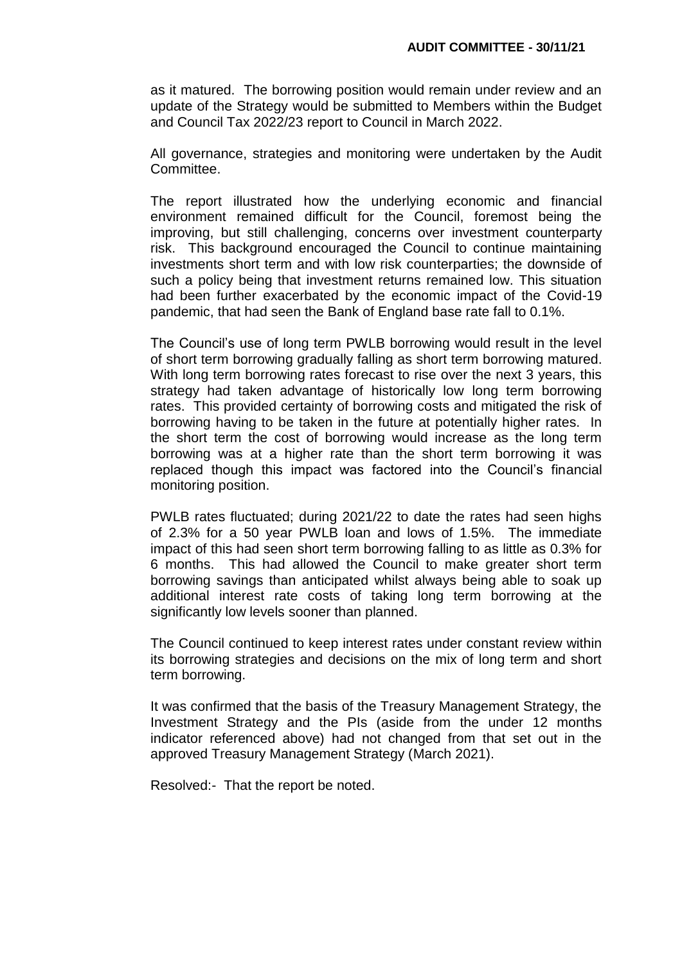as it matured. The borrowing position would remain under review and an update of the Strategy would be submitted to Members within the Budget and Council Tax 2022/23 report to Council in March 2022.

All governance, strategies and monitoring were undertaken by the Audit Committee.

The report illustrated how the underlying economic and financial environment remained difficult for the Council, foremost being the improving, but still challenging, concerns over investment counterparty risk. This background encouraged the Council to continue maintaining investments short term and with low risk counterparties; the downside of such a policy being that investment returns remained low. This situation had been further exacerbated by the economic impact of the Covid-19 pandemic, that had seen the Bank of England base rate fall to 0.1%.

The Council's use of long term PWLB borrowing would result in the level of short term borrowing gradually falling as short term borrowing matured. With long term borrowing rates forecast to rise over the next 3 years, this strategy had taken advantage of historically low long term borrowing rates. This provided certainty of borrowing costs and mitigated the risk of borrowing having to be taken in the future at potentially higher rates. In the short term the cost of borrowing would increase as the long term borrowing was at a higher rate than the short term borrowing it was replaced though this impact was factored into the Council's financial monitoring position.

PWLB rates fluctuated; during 2021/22 to date the rates had seen highs of 2.3% for a 50 year PWLB loan and lows of 1.5%. The immediate impact of this had seen short term borrowing falling to as little as 0.3% for 6 months. This had allowed the Council to make greater short term borrowing savings than anticipated whilst always being able to soak up additional interest rate costs of taking long term borrowing at the significantly low levels sooner than planned.

The Council continued to keep interest rates under constant review within its borrowing strategies and decisions on the mix of long term and short term borrowing.

It was confirmed that the basis of the Treasury Management Strategy, the Investment Strategy and the PIs (aside from the under 12 months indicator referenced above) had not changed from that set out in the approved Treasury Management Strategy (March 2021).

Resolved:- That the report be noted.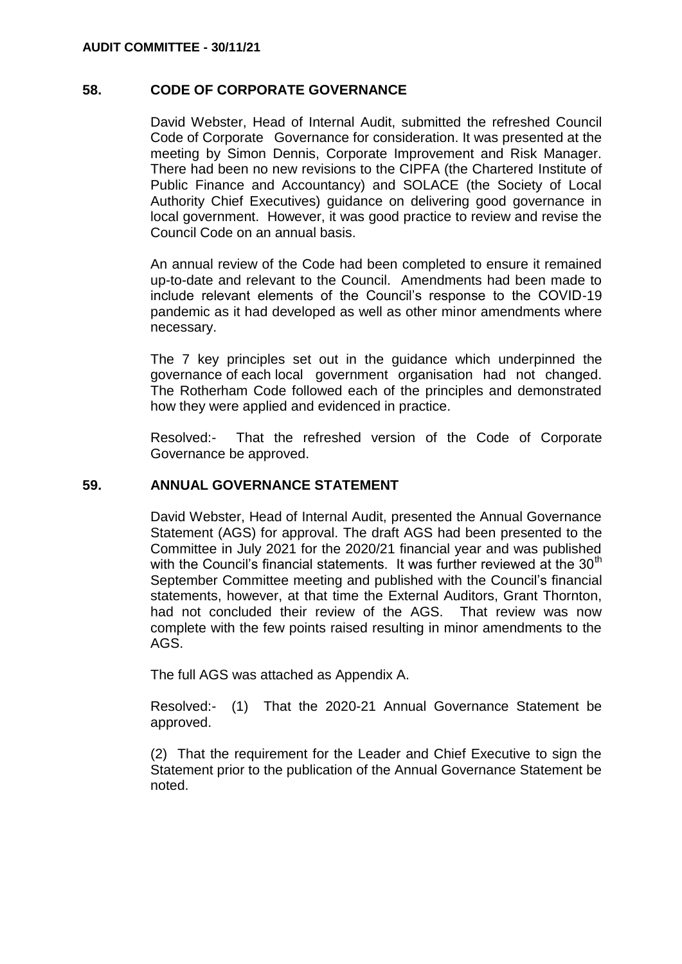## **58. CODE OF CORPORATE GOVERNANCE**

David Webster, Head of Internal Audit, submitted the refreshed Council Code of Corporate Governance for consideration. It was presented at the meeting by Simon Dennis, Corporate Improvement and Risk Manager. There had been no new revisions to the CIPFA (the Chartered Institute of Public Finance and Accountancy) and SOLACE (the Society of Local Authority Chief Executives) guidance on delivering good governance in local government. However, it was good practice to review and revise the Council Code on an annual basis.

An annual review of the Code had been completed to ensure it remained up-to-date and relevant to the Council. Amendments had been made to include relevant elements of the Council's response to the COVID-19 pandemic as it had developed as well as other minor amendments where necessary.

The 7 key principles set out in the guidance which underpinned the governance of each local government organisation had not changed. The Rotherham Code followed each of the principles and demonstrated how they were applied and evidenced in practice.

Resolved:- That the refreshed version of the Code of Corporate Governance be approved.

## **59. ANNUAL GOVERNANCE STATEMENT**

David Webster, Head of Internal Audit, presented the Annual Governance Statement (AGS) for approval. The draft AGS had been presented to the Committee in July 2021 for the 2020/21 financial year and was published with the Council's financial statements. It was further reviewed at the  $30<sup>th</sup>$ September Committee meeting and published with the Council's financial statements, however, at that time the External Auditors, Grant Thornton, had not concluded their review of the AGS. That review was now complete with the few points raised resulting in minor amendments to the AGS.

The full AGS was attached as Appendix A.

Resolved:- (1) That the 2020-21 Annual Governance Statement be approved.

(2) That the requirement for the Leader and Chief Executive to sign the Statement prior to the publication of the Annual Governance Statement be noted.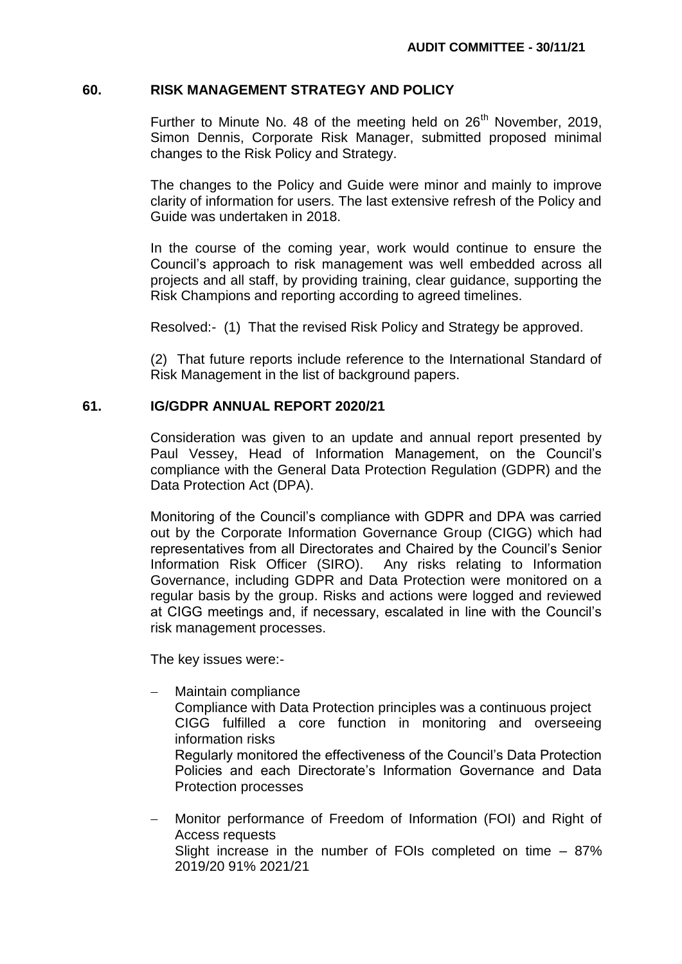### **60. RISK MANAGEMENT STRATEGY AND POLICY**

Further to Minute No. 48 of the meeting held on  $26<sup>th</sup>$  November, 2019, Simon Dennis, Corporate Risk Manager, submitted proposed minimal changes to the Risk Policy and Strategy.

The changes to the Policy and Guide were minor and mainly to improve clarity of information for users. The last extensive refresh of the Policy and Guide was undertaken in 2018.

In the course of the coming year, work would continue to ensure the Council's approach to risk management was well embedded across all projects and all staff, by providing training, clear guidance, supporting the Risk Champions and reporting according to agreed timelines.

Resolved:- (1) That the revised Risk Policy and Strategy be approved.

(2) That future reports include reference to the International Standard of Risk Management in the list of background papers.

### **61. IG/GDPR ANNUAL REPORT 2020/21**

Consideration was given to an update and annual report presented by Paul Vessey, Head of Information Management, on the Council's compliance with the General Data Protection Regulation (GDPR) and the Data Protection Act (DPA).

Monitoring of the Council's compliance with GDPR and DPA was carried out by the Corporate Information Governance Group (CIGG) which had representatives from all Directorates and Chaired by the Council's Senior Information Risk Officer (SIRO). Any risks relating to Information Governance, including GDPR and Data Protection were monitored on a regular basis by the group. Risks and actions were logged and reviewed at CIGG meetings and, if necessary, escalated in line with the Council's risk management processes.

The key issues were:-

Maintain compliance

Compliance with Data Protection principles was a continuous project CIGG fulfilled a core function in monitoring and overseeing information risks

Regularly monitored the effectiveness of the Council's Data Protection Policies and each Directorate's Information Governance and Data Protection processes

 Monitor performance of Freedom of Information (FOI) and Right of Access requests Slight increase in the number of FOIs completed on time – 87% 2019/20 91% 2021/21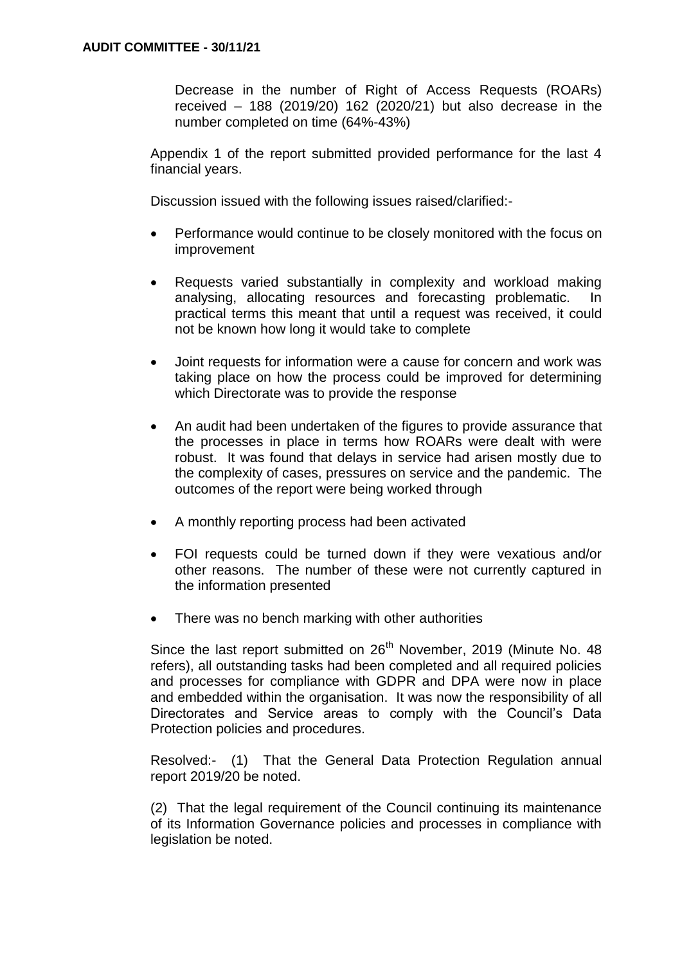Decrease in the number of Right of Access Requests (ROARs) received – 188 (2019/20) 162 (2020/21) but also decrease in the number completed on time (64%-43%)

Appendix 1 of the report submitted provided performance for the last 4 financial years.

Discussion issued with the following issues raised/clarified:-

- Performance would continue to be closely monitored with the focus on improvement
- Requests varied substantially in complexity and workload making analysing, allocating resources and forecasting problematic. In practical terms this meant that until a request was received, it could not be known how long it would take to complete
- Joint requests for information were a cause for concern and work was taking place on how the process could be improved for determining which Directorate was to provide the response
- An audit had been undertaken of the figures to provide assurance that the processes in place in terms how ROARs were dealt with were robust. It was found that delays in service had arisen mostly due to the complexity of cases, pressures on service and the pandemic. The outcomes of the report were being worked through
- A monthly reporting process had been activated
- FOI requests could be turned down if they were vexatious and/or other reasons. The number of these were not currently captured in the information presented
- There was no bench marking with other authorities

Since the last report submitted on 26<sup>th</sup> November, 2019 (Minute No. 48) refers), all outstanding tasks had been completed and all required policies and processes for compliance with GDPR and DPA were now in place and embedded within the organisation. It was now the responsibility of all Directorates and Service areas to comply with the Council's Data Protection policies and procedures.

Resolved:- (1) That the General Data Protection Regulation annual report 2019/20 be noted.

(2) That the legal requirement of the Council continuing its maintenance of its Information Governance policies and processes in compliance with legislation be noted.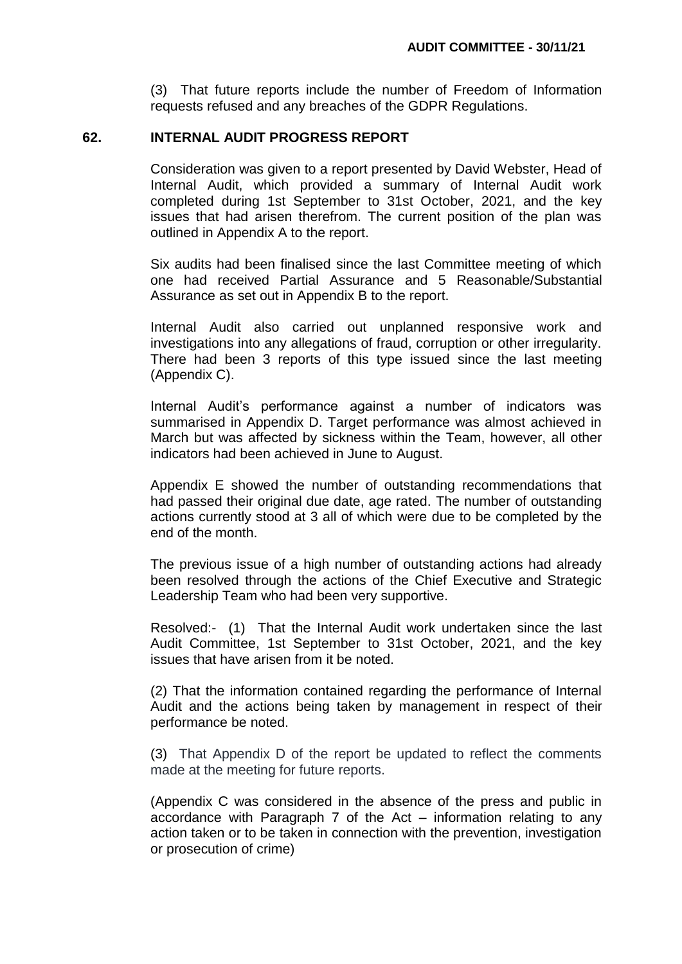(3) That future reports include the number of Freedom of Information requests refused and any breaches of the GDPR Regulations.

#### **62. INTERNAL AUDIT PROGRESS REPORT**

Consideration was given to a report presented by David Webster, Head of Internal Audit, which provided a summary of Internal Audit work completed during 1st September to 31st October, 2021, and the key issues that had arisen therefrom. The current position of the plan was outlined in Appendix A to the report.

Six audits had been finalised since the last Committee meeting of which one had received Partial Assurance and 5 Reasonable/Substantial Assurance as set out in Appendix B to the report.

Internal Audit also carried out unplanned responsive work and investigations into any allegations of fraud, corruption or other irregularity. There had been 3 reports of this type issued since the last meeting (Appendix C).

Internal Audit's performance against a number of indicators was summarised in Appendix D. Target performance was almost achieved in March but was affected by sickness within the Team, however, all other indicators had been achieved in June to August.

Appendix E showed the number of outstanding recommendations that had passed their original due date, age rated. The number of outstanding actions currently stood at 3 all of which were due to be completed by the end of the month.

The previous issue of a high number of outstanding actions had already been resolved through the actions of the Chief Executive and Strategic Leadership Team who had been very supportive.

Resolved:- (1) That the Internal Audit work undertaken since the last Audit Committee, 1st September to 31st October, 2021, and the key issues that have arisen from it be noted.

(2) That the information contained regarding the performance of Internal Audit and the actions being taken by management in respect of their performance be noted.

(3) That Appendix D of the report be updated to reflect the comments made at the meeting for future reports.

(Appendix C was considered in the absence of the press and public in accordance with Paragraph 7 of the Act – information relating to any action taken or to be taken in connection with the prevention, investigation or prosecution of crime)